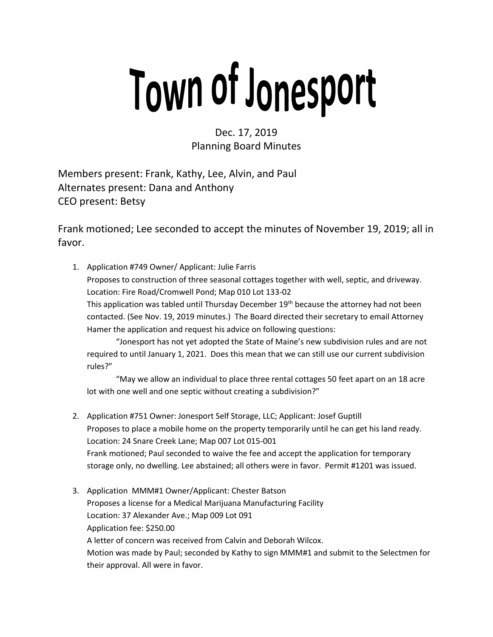## Town of Jonesport

Dec. 17, 2019 Planning Board Minutes

Members present: Frank, Kathy, Lee, Alvin, and Paul Alternates present: Dana and Anthony CEO present: Betsy

Frank motioned; Lee seconded to accept the minutes of November 19, 2019; all in favor.

1. Application #749 Owner/ Applicant: Julie Farris Proposes to construction of three seasonal cottages together with well, septic, and driveway. Location: Fire Road/Cromwell Pond; Map 010 Lot 133-02 This application was tabled until Thursday December 19<sup>th</sup> because the attorney had not been contacted. (See Nov. 19, 2019 minutes.) The Board directed their secretary to email Attorney Hamer the application and request his advice on following questions:

"Jonesport has not yet adopted the State of Maine's new subdivision rules and are not required to until January 1, 2021. Does this mean that we can still use our current subdivision rules?"

"May we allow an individual to place three rental cottages 50 feet apart on an 18 acre lot with one well and one septic without creating a subdivision?"

- 2. Application #751 Owner: Jonesport Self Storage, LLC; Applicant: Josef Guptill Proposes to place a mobile home on the property temporarily until he can get his land ready. Location: 24 Snare Creek Lane; Map 007 Lot 015-001 Frank motioned; Paul seconded to waive the fee and accept the application for temporary storage only, no dwelling. Lee abstained; all others were in favor. Permit #1201 was issued.
- 3. Application MMM#1 Owner/Applicant: Chester Batson Proposes a license for a Medical Marijuana Manufacturing Facility Location: 37 Alexander Ave.; Map 009 Lot 091 Application fee: \$250.00 A letter of concern was received from Calvin and Deborah Wilcox. Motion was made by Paul; seconded by Kathy to sign MMM#1 and submit to the Selectmen for their approval. All were in favor.